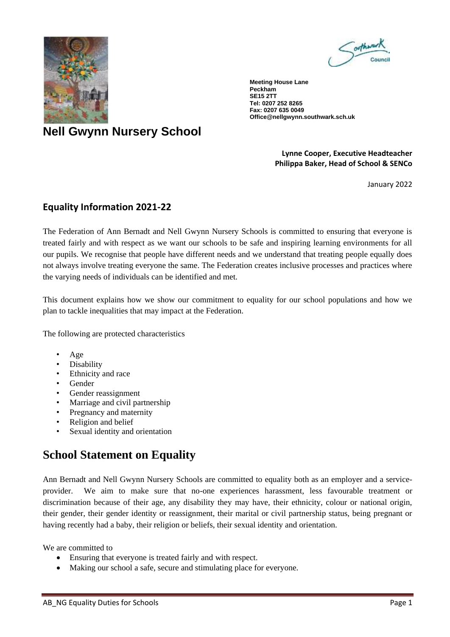



**Meeting House Lane Peckham SE15 2TT Tel: 0207 252 8265 Fax: 0207 635 0049 Office@nellgwynn.southwark.sch.uk**

# **Nell Gwynn Nursery School**

#### **Lynne Cooper, Executive Headteacher Philippa Baker, Head of School & SENCo**

January 2022

# **Equality Information 2021-22**

The Federation of Ann Bernadt and Nell Gwynn Nursery Schools is committed to ensuring that everyone is treated fairly and with respect as we want our schools to be safe and inspiring learning environments for all our pupils. We recognise that people have different needs and we understand that treating people equally does not always involve treating everyone the same. The Federation creates inclusive processes and practices where the varying needs of individuals can be identified and met.

This document explains how we show our commitment to equality for our school populations and how we plan to tackle inequalities that may impact at the Federation.

The following are protected characteristics

- Age
- Disability
- Ethnicity and race
- Gender
- Gender reassignment
- Marriage and civil partnership
- Pregnancy and maternity
- Religion and belief
- Sexual identity and orientation

# **School Statement on Equality**

Ann Bernadt and Nell Gwynn Nursery Schools are committed to equality both as an employer and a serviceprovider. We aim to make sure that no-one experiences harassment, less favourable treatment or discrimination because of their age, any disability they may have, their ethnicity, colour or national origin, their gender, their gender identity or reassignment, their marital or civil partnership status, being pregnant or having recently had a baby, their religion or beliefs, their sexual identity and orientation.

We are committed to

- Ensuring that everyone is treated fairly and with respect.
- Making our school a safe, secure and stimulating place for everyone.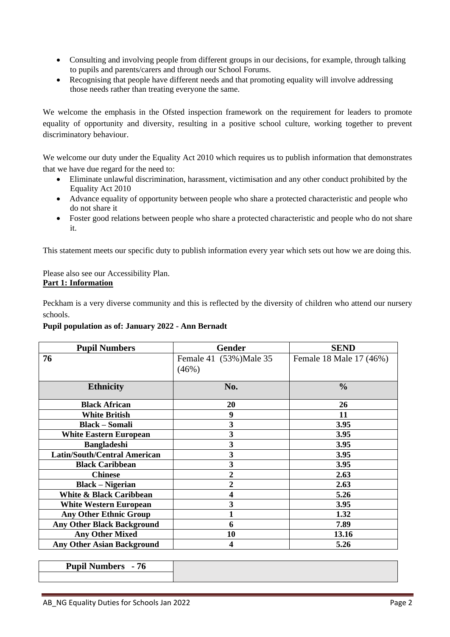- Consulting and involving people from different groups in our decisions, for example, through talking to pupils and parents/carers and through our School Forums.
- Recognising that people have different needs and that promoting equality will involve addressing those needs rather than treating everyone the same.

We welcome the emphasis in the Ofsted inspection framework on the requirement for leaders to promote equality of opportunity and diversity, resulting in a positive school culture, working together to prevent discriminatory behaviour.

We welcome our duty under the Equality Act 2010 which requires us to publish information that demonstrates that we have due regard for the need to:

- Eliminate unlawful discrimination, harassment, victimisation and any other conduct prohibited by the Equality Act 2010
- Advance equality of opportunity between people who share a protected characteristic and people who do not share it
- Foster good relations between people who share a protected characteristic and people who do not share it.

This statement meets our specific duty to publish information every year which sets out how we are doing this.

Please also see our Accessibility Plan. **Part 1: Information** 

Peckham is a very diverse community and this is reflected by the diversity of children who attend our nursery schools.

### **Pupil population as of: January 2022 - Ann Bernadt**

| <b>Pupil Numbers</b>                | <b>Gender</b>           | <b>SEND</b>             |
|-------------------------------------|-------------------------|-------------------------|
| 76                                  | Female 41 (53%) Male 35 | Female 18 Male 17 (46%) |
|                                     | (46%)                   |                         |
| <b>Ethnicity</b>                    | No.                     | $\frac{0}{0}$           |
| <b>Black African</b>                | 20                      | 26                      |
| <b>White British</b>                | 9                       | 11                      |
| <b>Black - Somali</b>               | 3                       | 3.95                    |
| <b>White Eastern European</b>       | 3                       | 3.95                    |
| <b>Bangladeshi</b>                  | 3                       | 3.95                    |
| <b>Latin/South/Central American</b> | 3                       | 3.95                    |
| <b>Black Caribbean</b>              | 3                       | 3.95                    |
| <b>Chinese</b>                      | 2                       | 2.63                    |
| <b>Black – Nigerian</b>             | $\overline{2}$          | 2.63                    |
| White & Black Caribbean             | $\overline{\mathbf{4}}$ | 5.26                    |
| <b>White Western European</b>       | 3                       | 3.95                    |
| <b>Any Other Ethnic Group</b>       |                         | 1.32                    |
| <b>Any Other Black Background</b>   | 6                       | 7.89                    |
| <b>Any Other Mixed</b>              | 10                      | 13.16                   |
| <b>Any Other Asian Background</b>   | 4                       | 5.26                    |

**Pupil Numbers - 76**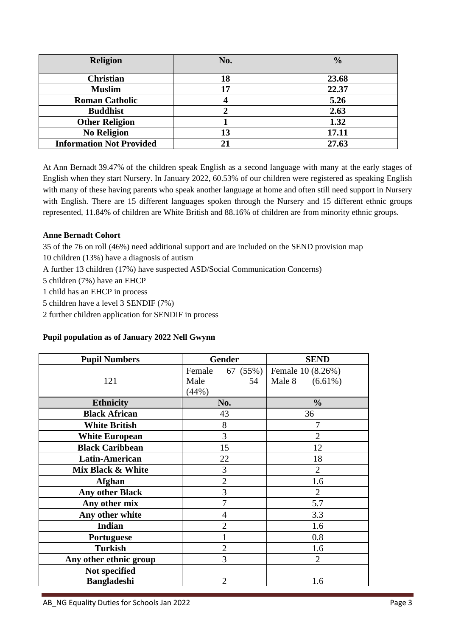| <b>Religion</b>                 | No. | $\frac{0}{0}$ |
|---------------------------------|-----|---------------|
|                                 |     |               |
| <b>Christian</b>                | 18  | 23.68         |
| <b>Muslim</b>                   |     | 22.37         |
| <b>Roman Catholic</b>           |     | 5.26          |
| <b>Buddhist</b>                 |     | 2.63          |
| <b>Other Religion</b>           |     | 1.32          |
| <b>No Religion</b>              | 13  | 17.11         |
| <b>Information Not Provided</b> |     | 27.63         |

At Ann Bernadt 39.47% of the children speak English as a second language with many at the early stages of English when they start Nursery. In January 2022, 60.53% of our children were registered as speaking English with many of these having parents who speak another language at home and often still need support in Nursery with English. There are 15 different languages spoken through the Nursery and 15 different ethnic groups represented, 11.84% of children are White British and 88.16% of children are from minority ethnic groups.

## **Anne Bernadt Cohort**

35 of the 76 on roll (46%) need additional support and are included on the SEND provision map

10 children (13%) have a diagnosis of autism

A further 13 children (17%) have suspected ASD/Social Communication Concerns)

5 children (7%) have an EHCP

1 child has an EHCP in process

5 children have a level 3 SENDIF (7%)

2 further children application for SENDIF in process

### **Pupil population as of January 2022 Nell Gwynn**

| <b>Pupil Numbers</b>                | <b>Gender</b>                             | <b>SEND</b>                            |
|-------------------------------------|-------------------------------------------|----------------------------------------|
| 121                                 | 67 (55%)<br>Female<br>Male<br>54<br>(44%) | Female 10 (8.26%)<br>Male 8 $(6.61\%)$ |
| <b>Ethnicity</b>                    | No.                                       | $\frac{0}{0}$                          |
| <b>Black African</b>                | 43                                        | 36                                     |
| <b>White British</b>                | $8\,$                                     | 7                                      |
| <b>White European</b>               | 3                                         | $\overline{2}$                         |
| <b>Black Caribbean</b>              | 15                                        | 12                                     |
| <b>Latin-American</b>               | 22                                        | 18                                     |
| Mix Black & White                   | 3                                         | $\overline{2}$                         |
| <b>Afghan</b>                       | $\overline{2}$                            | 1.6                                    |
| <b>Any other Black</b>              | 3                                         | 2                                      |
| Any other mix                       | 7                                         | 5.7                                    |
| Any other white                     | $\overline{4}$                            | 3.3                                    |
| <b>Indian</b>                       | $\overline{2}$                            | 1.6                                    |
| <b>Portuguese</b>                   |                                           | 0.8                                    |
| <b>Turkish</b>                      | $\overline{2}$                            | 1.6                                    |
| Any other ethnic group              | 3                                         | $\overline{2}$                         |
| Not specified<br><b>Bangladeshi</b> | 2                                         | 1.6                                    |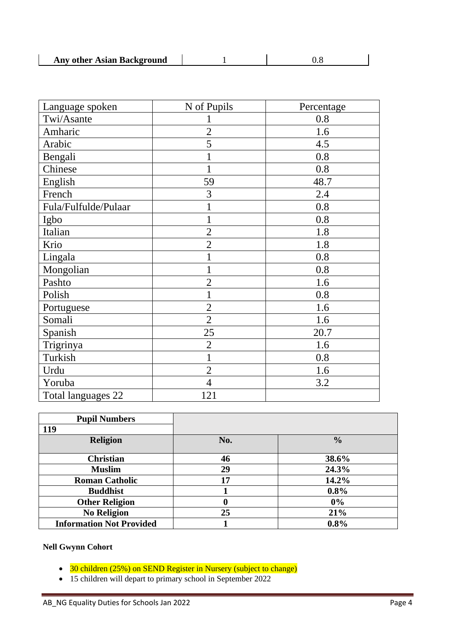| Any other Asian Background |  |  |
|----------------------------|--|--|
|----------------------------|--|--|

| Language spoken      | N of Pupils    | Percentage |
|----------------------|----------------|------------|
| Twi/Asante           |                | 0.8        |
| Amharic              | $\overline{2}$ | 1.6        |
| Arabic               | 5              | 4.5        |
| Bengali              |                | 0.8        |
| Chinese              |                | 0.8        |
| English              | 59             | 48.7       |
| French               | 3              | 2.4        |
| Fula/Fulfulde/Pulaar |                | 0.8        |
| Igbo                 |                | 0.8        |
| Italian              | $\overline{2}$ | 1.8        |
| Krio                 | $\overline{2}$ | 1.8        |
| Lingala              |                | 0.8        |
| Mongolian            |                | 0.8        |
| Pashto               | $\overline{2}$ | 1.6        |
| Polish               |                | 0.8        |
| Portuguese           | $\overline{2}$ | 1.6        |
| Somali               | $\overline{2}$ | 1.6        |
| Spanish              | 25             | 20.7       |
| Trigrinya            | $\overline{2}$ | 1.6        |
| Turkish              | 1              | 0.8        |
| Urdu                 | $\overline{2}$ | 1.6        |
| Yoruba               | $\overline{4}$ | 3.2        |
| Total languages 22   | 121            |            |

| <b>Pupil Numbers</b>            |     |               |
|---------------------------------|-----|---------------|
| 119                             |     |               |
| <b>Religion</b>                 | No. | $\frac{0}{0}$ |
| <b>Christian</b>                | 46  | 38.6%         |
| <b>Muslim</b>                   | 29  | 24.3%         |
| <b>Roman Catholic</b>           | 17  | 14.2%         |
| <b>Buddhist</b>                 |     | 0.8%          |
| <b>Other Religion</b>           | 0   | 0%            |
| <b>No Religion</b>              | 25  | 21%           |
| <b>Information Not Provided</b> |     | 0.8%          |

# **Nell Gwynn Cohort**

- 30 children (25%) on SEND Register in Nursery (subject to change)
- 15 children will depart to primary school in September 2022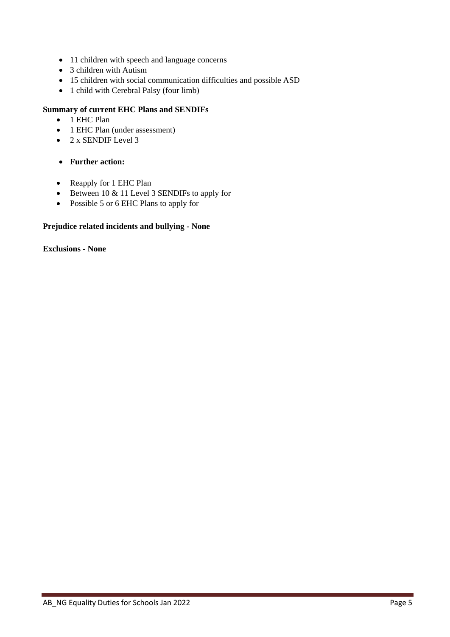- 11 children with speech and language concerns
- 3 children with Autism
- 15 children with social communication difficulties and possible ASD
- 1 child with Cerebral Palsy (four limb)

## **Summary of current EHC Plans and SENDIFs**

- 1 EHC Plan
- 1 EHC Plan (under assessment)
- $\bullet$  2 x SENDIF Level 3
- **Further action:**
- Reapply for 1 EHC Plan
- Between 10 & 11 Level 3 SENDIFs to apply for
- Possible 5 or 6 EHC Plans to apply for

### **Prejudice related incidents and bullying - None**

**Exclusions - None**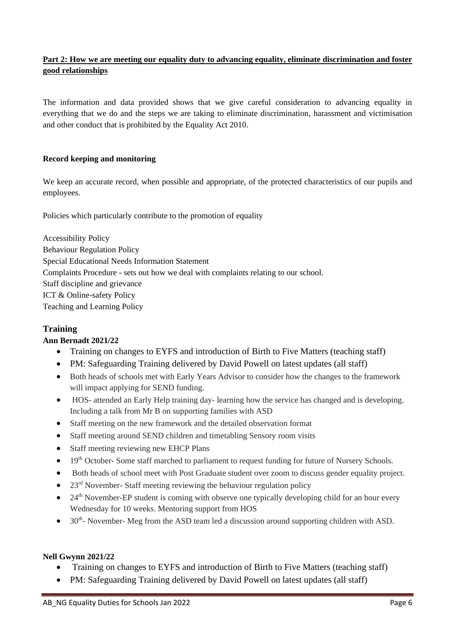## **Part 2: How we are meeting our equality duty to advancing equality, eliminate discrimination and foster good relationships**

The information and data provided shows that we give careful consideration to advancing equality in everything that we do and the steps we are taking to eliminate discrimination, harassment and victimisation and other conduct that is prohibited by the Equality Act 2010.

## **Record keeping and monitoring**

We keep an accurate record, when possible and appropriate, of the protected characteristics of our pupils and employees.

Policies which particularly contribute to the promotion of equality

Accessibility Policy Behaviour Regulation Policy Special Educational Needs Information Statement Complaints Procedure - sets out how we deal with complaints relating to our school. Staff discipline and grievance ICT & Online-safety Policy Teaching and Learning Policy

## **Training**

### **Ann Bernadt 2021/22**

- Training on changes to EYFS and introduction of Birth to Five Matters (teaching staff)
- PM: Safeguarding Training delivered by David Powell on latest updates (all staff)
- Both heads of schools met with Early Years Advisor to consider how the changes to the framework will impact applying for SEND funding.
- HOS- attended an Early Help training day- learning how the service has changed and is developing. Including a talk from Mr B on supporting families with ASD
- Staff meeting on the new framework and the detailed observation format
- Staff meeting around SEND children and timetabling Sensory room visits
- Staff meeting reviewing new EHCP Plans
- $\bullet$  19<sup>th</sup> October- Some staff marched to parliament to request funding for future of Nursery Schools.
- Both heads of school meet with Post Graduate student over zoom to discuss gender equality project.
- 23<sup>rd</sup> November- Staff meeting reviewing the behaviour regulation policy
- 24<sup>th</sup> November-EP student is coming with observe one typically developing child for an hour every Wednesday for 10 weeks. Mentoring support from HOS
- $\bullet$  30<sup>th</sup> November- Meg from the ASD team led a discussion around supporting children with ASD.

### **Nell Gwynn 2021/22**

- Training on changes to EYFS and introduction of Birth to Five Matters (teaching staff)
- PM: Safeguarding Training delivered by David Powell on latest updates (all staff)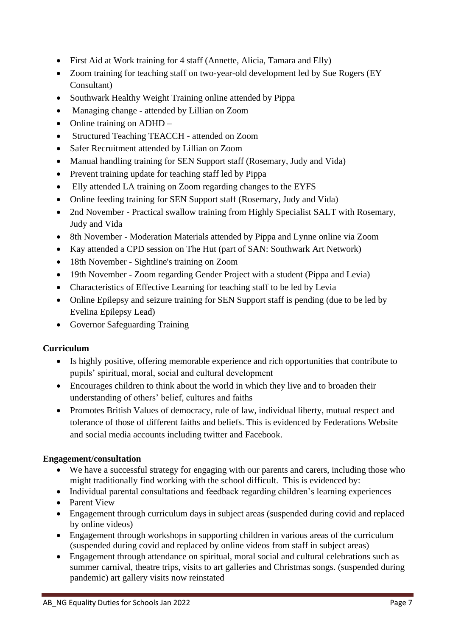- First Aid at Work training for 4 staff (Annette, Alicia, Tamara and Elly)
- Zoom training for teaching staff on two-year-old development led by Sue Rogers (EY Consultant)
- Southwark Healthy Weight Training online attended by Pippa
- Managing change attended by Lillian on Zoom
- Online training on ADHD –
- Structured Teaching TEACCH attended on Zoom
- Safer Recruitment attended by Lillian on Zoom
- Manual handling training for SEN Support staff (Rosemary, Judy and Vida)
- Prevent training update for teaching staff led by Pippa
- Elly attended LA training on Zoom regarding changes to the EYFS
- Online feeding training for SEN Support staff (Rosemary, Judy and Vida)
- 2nd November Practical swallow training from Highly Specialist SALT with Rosemary, Judy and Vida
- 8th November Moderation Materials attended by Pippa and Lynne online via Zoom
- Kay attended a CPD session on The Hut (part of SAN: Southwark Art Network)
- 18th November Sightline's training on Zoom
- 19th November Zoom regarding Gender Project with a student (Pippa and Levia)
- Characteristics of Effective Learning for teaching staff to be led by Levia
- Online Epilepsy and seizure training for SEN Support staff is pending (due to be led by Evelina Epilepsy Lead)
- Governor Safeguarding Training

# **Curriculum**

- Is highly positive, offering memorable experience and rich opportunities that contribute to pupils' spiritual, moral, social and cultural development
- Encourages children to think about the world in which they live and to broaden their understanding of others' belief, cultures and faiths
- Promotes British Values of democracy, rule of law, individual liberty, mutual respect and tolerance of those of different faiths and beliefs. This is evidenced by Federations Website and social media accounts including twitter and Facebook.

# **Engagement/consultation**

- We have a successful strategy for engaging with our parents and carers, including those who might traditionally find working with the school difficult. This is evidenced by:
- Individual parental consultations and feedback regarding children's learning experiences
- Parent View
- Engagement through curriculum days in subject areas (suspended during covid and replaced by online videos)
- Engagement through workshops in supporting children in various areas of the curriculum (suspended during covid and replaced by online videos from staff in subject areas)
- Engagement through attendance on spiritual, moral social and cultural celebrations such as summer carnival, theatre trips, visits to art galleries and Christmas songs. (suspended during pandemic) art gallery visits now reinstated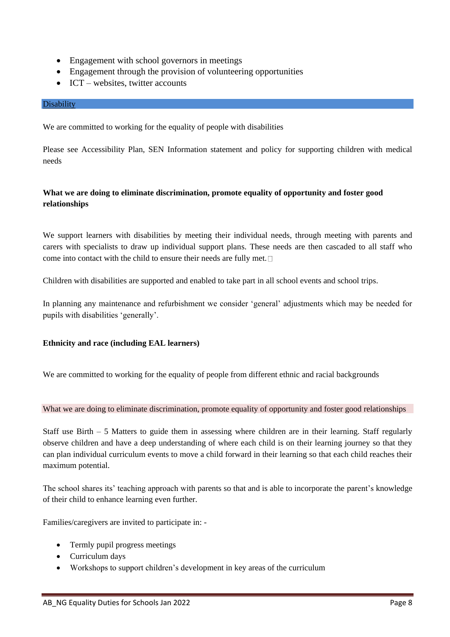- Engagement with school governors in meetings
- Engagement through the provision of volunteering opportunities
- ICT websites, twitter accounts

#### Disability

We are committed to working for the equality of people with disabilities

Please see Accessibility Plan, SEN Information statement and policy for supporting children with medical needs

## **What we are doing to eliminate discrimination, promote equality of opportunity and foster good relationships**

We support learners with disabilities by meeting their individual needs, through meeting with parents and carers with specialists to draw up individual support plans. These needs are then cascaded to all staff who come into contact with the child to ensure their needs are fully met.

Children with disabilities are supported and enabled to take part in all school events and school trips.

In planning any maintenance and refurbishment we consider 'general' adjustments which may be needed for pupils with disabilities 'generally'.

#### **Ethnicity and race (including EAL learners)**

We are committed to working for the equality of people from different ethnic and racial backgrounds

What we are doing to eliminate discrimination, promote equality of opportunity and foster good relationships

Staff use Birth – 5 Matters to guide them in assessing where children are in their learning. Staff regularly observe children and have a deep understanding of where each child is on their learning journey so that they can plan individual curriculum events to move a child forward in their learning so that each child reaches their maximum potential.

The school shares its' teaching approach with parents so that and is able to incorporate the parent's knowledge of their child to enhance learning even further.

Families/caregivers are invited to participate in: -

- Termly pupil progress meetings
- Curriculum days
- Workshops to support children's development in key areas of the curriculum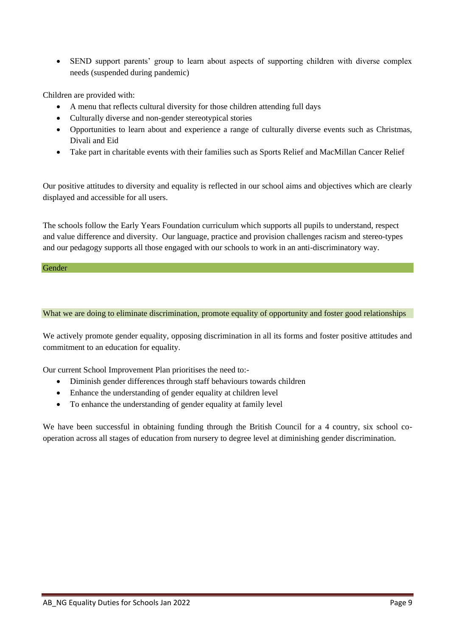• SEND support parents' group to learn about aspects of supporting children with diverse complex needs (suspended during pandemic)

Children are provided with:

- A menu that reflects cultural diversity for those children attending full days
- Culturally diverse and non-gender stereotypical stories
- Opportunities to learn about and experience a range of culturally diverse events such as Christmas, Divali and Eid
- Take part in charitable events with their families such as Sports Relief and MacMillan Cancer Relief

Our positive attitudes to diversity and equality is reflected in our school aims and objectives which are clearly displayed and accessible for all users.

The schools follow the Early Years Foundation curriculum which supports all pupils to understand, respect and value difference and diversity. Our language, practice and provision challenges racism and stereo-types and our pedagogy supports all those engaged with our schools to work in an anti-discriminatory way.

Gender

#### What we are doing to eliminate discrimination, promote equality of opportunity and foster good relationships

We actively promote gender equality, opposing discrimination in all its forms and foster positive attitudes and commitment to an education for equality.

Our current School Improvement Plan prioritises the need to:-

- Diminish gender differences through staff behaviours towards children
- Enhance the understanding of gender equality at children level
- To enhance the understanding of gender equality at family level

We have been successful in obtaining funding through the British Council for a 4 country, six school cooperation across all stages of education from nursery to degree level at diminishing gender discrimination.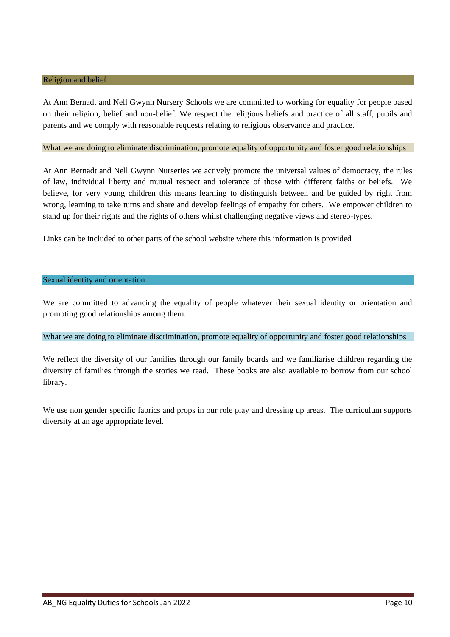#### Religion and belief

At Ann Bernadt and Nell Gwynn Nursery Schools we are committed to working for equality for people based on their religion, belief and non-belief. We respect the religious beliefs and practice of all staff, pupils and parents and we comply with reasonable requests relating to religious observance and practice.

#### What we are doing to eliminate discrimination, promote equality of opportunity and foster good relationships

At Ann Bernadt and Nell Gwynn Nurseries we actively promote the universal values of democracy, the rules of law, individual liberty and mutual respect and tolerance of those with different faiths or beliefs. We believe, for very young children this means learning to distinguish between and be guided by right from wrong, learning to take turns and share and develop feelings of empathy for others. We empower children to stand up for their rights and the rights of others whilst challenging negative views and stereo-types.

Links can be included to other parts of the school website where this information is provided

#### Sexual identity and orientation

We are committed to advancing the equality of people whatever their sexual identity or orientation and promoting good relationships among them.

#### What we are doing to eliminate discrimination, promote equality of opportunity and foster good relationships

We reflect the diversity of our families through our family boards and we familiarise children regarding the diversity of families through the stories we read. These books are also available to borrow from our school library.

We use non gender specific fabrics and props in our role play and dressing up areas. The curriculum supports diversity at an age appropriate level.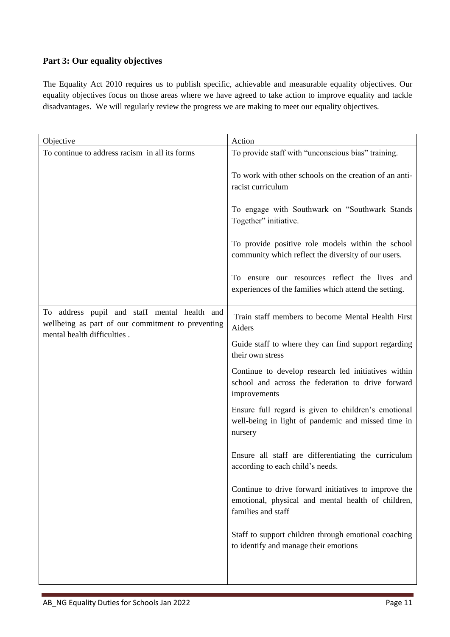# **Part 3: Our equality objectives**

The Equality Act 2010 requires us to publish specific, achievable and measurable equality objectives. Our equality objectives focus on those areas where we have agreed to take action to improve equality and tackle disadvantages. We will regularly review the progress we are making to meet our equality objectives.

| Objective                                                                                                                        | Action                                                                                                                                                                                                                                                                                                                                                                      |
|----------------------------------------------------------------------------------------------------------------------------------|-----------------------------------------------------------------------------------------------------------------------------------------------------------------------------------------------------------------------------------------------------------------------------------------------------------------------------------------------------------------------------|
| To continue to address racism in all its forms                                                                                   | To provide staff with "unconscious bias" training.                                                                                                                                                                                                                                                                                                                          |
|                                                                                                                                  | To work with other schools on the creation of an anti-<br>racist curriculum<br>To engage with Southwark on "Southwark Stands<br>Together" initiative.<br>To provide positive role models within the school<br>community which reflect the diversity of our users.<br>To ensure our resources reflect the lives and<br>experiences of the families which attend the setting. |
| To address pupil and staff mental health and<br>wellbeing as part of our commitment to preventing<br>mental health difficulties. | Train staff members to become Mental Health First<br>Aiders                                                                                                                                                                                                                                                                                                                 |
|                                                                                                                                  | Guide staff to where they can find support regarding<br>their own stress                                                                                                                                                                                                                                                                                                    |
|                                                                                                                                  | Continue to develop research led initiatives within<br>school and across the federation to drive forward<br>improvements                                                                                                                                                                                                                                                    |
|                                                                                                                                  | Ensure full regard is given to children's emotional<br>well-being in light of pandemic and missed time in<br>nursery                                                                                                                                                                                                                                                        |
|                                                                                                                                  | Ensure all staff are differentiating the curriculum<br>according to each child's needs.                                                                                                                                                                                                                                                                                     |
|                                                                                                                                  | Continue to drive forward initiatives to improve the<br>emotional, physical and mental health of children,<br>families and staff                                                                                                                                                                                                                                            |
|                                                                                                                                  | Staff to support children through emotional coaching<br>to identify and manage their emotions                                                                                                                                                                                                                                                                               |
|                                                                                                                                  |                                                                                                                                                                                                                                                                                                                                                                             |